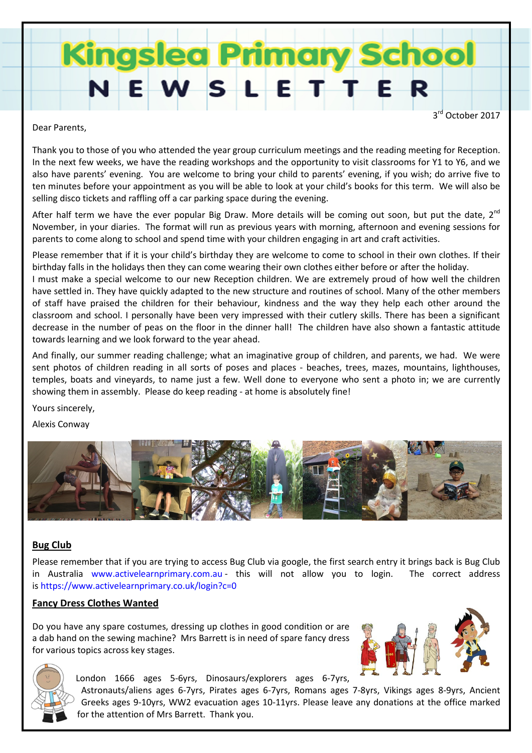# **Kingslea Primary Sc**

3<sup>rd</sup> October 2017

Dear Parents,

Thank you to those of you who attended the year group curriculum meetings and the reading meeting for Reception. In the next few weeks, we have the reading workshops and the opportunity to visit classrooms for Y1 to Y6, and we also have parents' evening. You are welcome to bring your child to parents' evening, if you wish; do arrive five to ten minutes before your appointment as you will be able to look at your child's books for this term. We will also be selling disco tickets and raffling off a car parking space during the evening.

After half term we have the ever popular Big Draw. More details will be coming out soon, but put the date,  $2^{nd}$ November, in your diaries. The format will run as previous years with morning, afternoon and evening sessions for parents to come along to school and spend time with your children engaging in art and craft activities.

Please remember that if it is your child's birthday they are welcome to come to school in their own clothes. If their birthday falls in the holidays then they can come wearing their own clothes either before or after the holiday.

I must make a special welcome to our new Reception children. We are extremely proud of how well the children have settled in. They have quickly adapted to the new structure and routines of school. Many of the other members of staff have praised the children for their behaviour, kindness and the way they help each other around the classroom and school. I personally have been very impressed with their cutlery skills. There has been a significant decrease in the number of peas on the floor in the dinner hall! The children have also shown a fantastic attitude towards learning and we look forward to the year ahead.

And finally, our summer reading challenge; what an imaginative group of children, and parents, we had. We were sent photos of children reading in all sorts of poses and places - beaches, trees, mazes, mountains, lighthouses, temples, boats and vineyards, to name just a few. Well done to everyone who sent a photo in; we are currently showing them in assembly. Please do keep reading - at home is absolutely fine!

Yours sincerely,

Alexis Conway



# Bug Club

Please remember that if you are trying to access Bug Club via google, the first search entry it brings back is Bug Club in Australia www.activelearnprimary.com.au - this will not allow you to login. The correct address is https://www.activelearnprimary.co.uk/login?c=0

# Fancy Dress Clothes Wanted

Do you have any spare costumes, dressing up clothes in good condition or are a dab hand on the sewing machine? Mrs Barrett is in need of spare fancy dress for various topics across key stages.





London 1666 ages 5-6yrs, Dinosaurs/explorers ages 6-7yrs,

Astronauts/aliens ages 6-7yrs, Pirates ages 6-7yrs, Romans ages 7-8yrs, Vikings ages 8-9yrs, Ancient Greeks ages 9-10yrs, WW2 evacuation ages 10-11yrs. Please leave any donations at the office marked for the attention of Mrs Barrett. Thank you.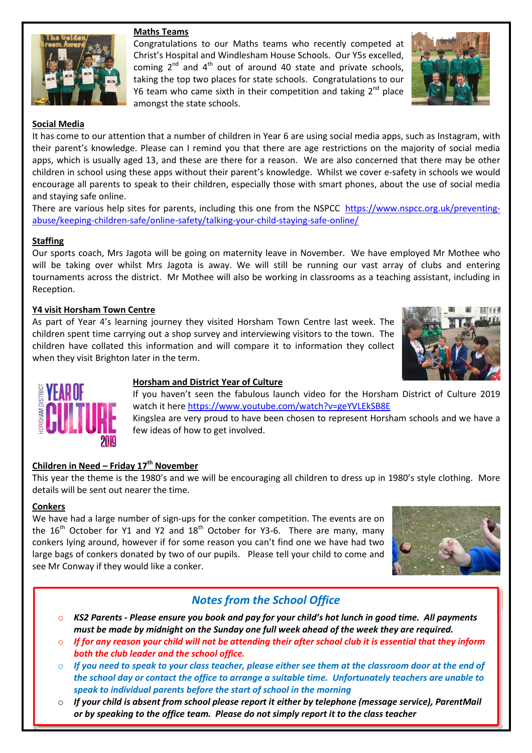## Maths Teams





#### Social Media

It has come to our attention that a number of children in Year 6 are using social media apps, such as Instagram, with their parent's knowledge. Please can I remind you that there are age restrictions on the majority of social media apps, which is usually aged 13, and these are there for a reason. We are also concerned that there may be other children in school using these apps without their parent's knowledge. Whilst we cover e-safety in schools we would encourage all parents to speak to their children, especially those with smart phones, about the use of social media and staying safe online.

There are various help sites for parents, including this one from the NSPCC https://www.nspcc.org.uk/preventingabuse/keeping-children-safe/online-safety/talking-your-child-staying-safe-online/

#### **Staffing**

Our sports coach, Mrs Jagota will be going on maternity leave in November. We have employed Mr Mothee who will be taking over whilst Mrs Jagota is away. We will still be running our vast array of clubs and entering tournaments across the district. Mr Mothee will also be working in classrooms as a teaching assistant, including in Reception.

#### Y4 visit Horsham Town Centre

As part of Year 4's learning journey they visited Horsham Town Centre last week. The children spent time carrying out a shop survey and interviewing visitors to the town. The children have collated this information and will compare it to information they collect when they visit Brighton later in the term.





#### Horsham and District Year of Culture

If you haven't seen the fabulous launch video for the Horsham District of Culture 2019 watch it here https://www.youtube.com/watch?v=geYVLEkSB8E

Kingslea are very proud to have been chosen to represent Horsham schools and we have a few ideas of how to get involved.

### Children in Need – Friday  $17<sup>th</sup>$  November

This year the theme is the 1980's and we will be encouraging all children to dress up in 1980's style clothing. More details will be sent out nearer the time.

#### **Conkers**

We have had a large number of sign-ups for the conker competition. The events are on the  $16<sup>th</sup>$  October for Y1 and Y2 and  $18<sup>th</sup>$  October for Y3-6. There are many, many conkers lying around, however if for some reason you can't find one we have had two large bags of conkers donated by two of our pupils. Please tell your child to come and see Mr Conway if they would like a conker.



# Notes from the School Office

- $\circ$  KS2 Parents Please ensure you book and pay for your child's hot lunch in good time. All payments must be made by midnight on the Sunday one full week ahead of the week they are required.
- If for any reason your child will not be attending their after school club it is essential that they inform both the club leader and the school office.
- $\circ$  If you need to speak to your class teacher, please either see them at the classroom door at the end of the school day or contact the office to arrange a suitable time. Unfortunately teachers are unable to speak to individual parents before the start of school in the morning
- $\circ$  If your child is absent from school please report it either by telephone (message service), ParentMail or by speaking to the office team. Please do not simply report it to the class teacher